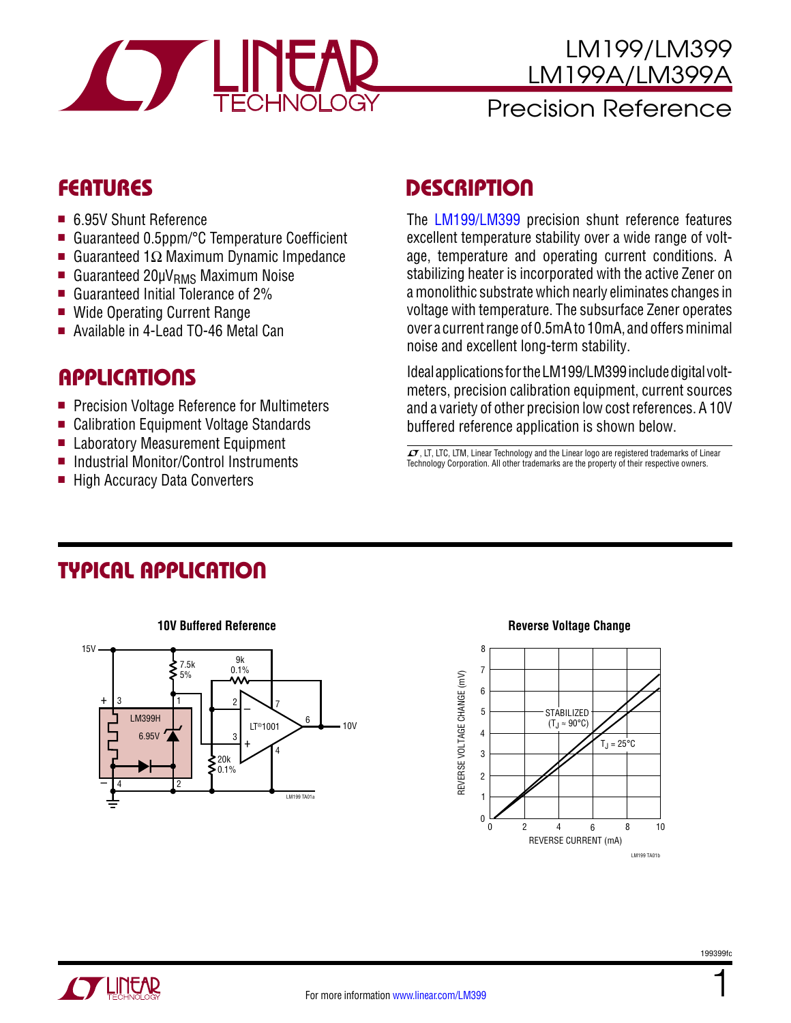

#### LM199/LM399 LM199A/LM399A Precision Reference

- 6.95V Shunt Reference
- Guaranteed 0.5ppm/°C Temperature Coefficient
- Guaranteed 1 $Ω$  Maximum Dynamic Impedance
- Guaranteed  $20\mu V_{RMS}$  Maximum Noise
- Guaranteed Initial Tolerance of  $2\%$
- Wide Operating Current Range
- Available in 4-Lead TO-46 Metal Can

#### **APPLICATIONS**

- Precision Voltage Reference for Multimeters
- Calibration Equipment Voltage Standards
- Laboratory Measurement Equipment
- Industrial Monitor/Control Instruments
- High Accuracy Data Converters

## Features Description

The [LM199/LM399](http://www.linear.com/LM399) precision shunt reference features excellent temperature stability over a wide range of voltage, temperature and operating current conditions. A stabilizing heater is incorporated with the active Zener on a monolithic substrate which nearly eliminates changes in voltage with temperature. The subsurface Zener operates over a current range of 0.5mA to 10mA, and offers minimal noise and excellent long-term stability.

Ideal applications for the LM199/LM399 include digital voltmeters, precision calibration equipment, current sources and a variety of other precision low cost references. A 10V buffered reference application is shown below.

 $I$ , LT, LTC, LTM, Linear Technology and the Linear logo are registered trademarks of Linear Technology Corporation. All other trademarks are the property of their respective owners.

### Typical Application



#### **10V Buffered Reference Reverse Voltage Change**



1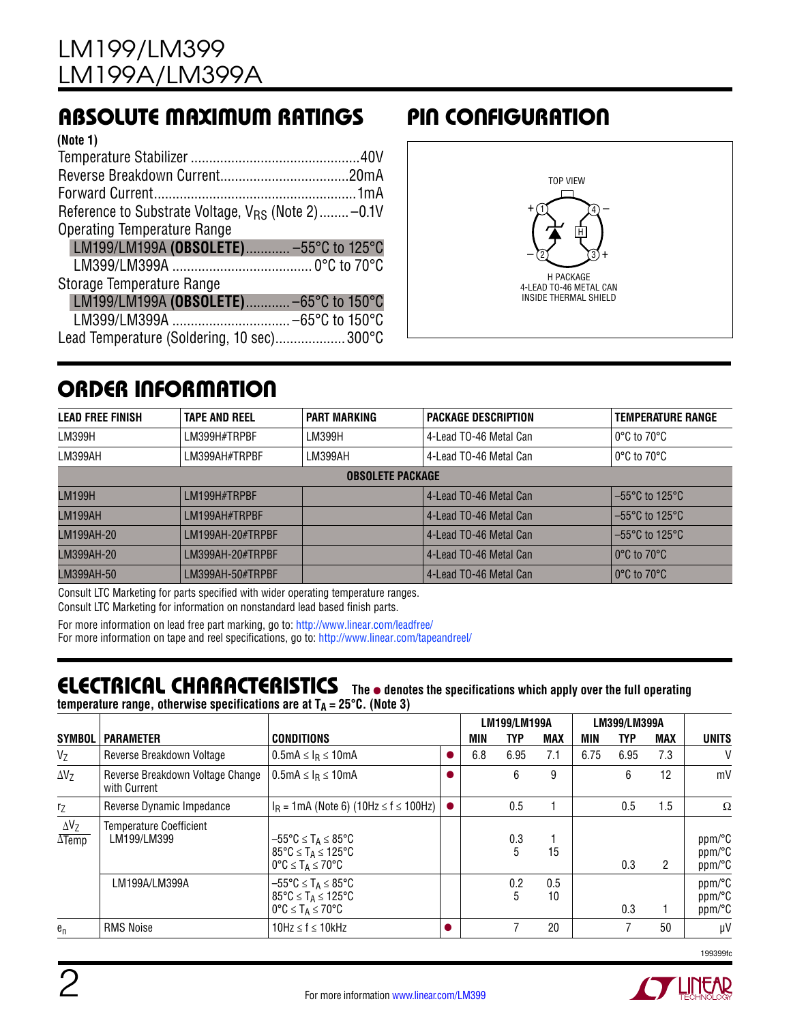### Absolute Maximum Ratings Pin Configuration

| (Note 1)                                                      |
|---------------------------------------------------------------|
|                                                               |
|                                                               |
|                                                               |
| Reference to Substrate Voltage, V <sub>RS</sub> (Note 2)-0.1V |
| <b>Operating Temperature Range</b>                            |
| LM199/LM199A (OBSOLETE) -55°C to 125°C                        |
|                                                               |
| Storage Temperature Range                                     |
| LM199/LM199A (OBSOLETE)-65°C to 150°C                         |
|                                                               |
| Lead Temperature (Soldering, 10 sec)300°C                     |
|                                                               |



### Order Information

| <b>LEAD FREE FINISH</b> | <b>TAPE AND REEL</b> | <b>PART MARKING</b>     | <b>PACKAGE DESCRIPTION</b>                                    | <b>TEMPERATURE RANGE</b>            |
|-------------------------|----------------------|-------------------------|---------------------------------------------------------------|-------------------------------------|
| LM399H                  | LM399H#TRPBF         | LM399H                  | 4-Lead TO-46 Metal Can                                        | $0^{\circ}$ C to $70^{\circ}$ C     |
| LM399AH                 | LM399AH#TRPBF        | LM399AH                 | 4-Lead TO-46 Metal Can                                        | $0^{\circ}$ C to $70^{\circ}$ C     |
|                         |                      | <b>OBSOLETE PACKAGE</b> |                                                               |                                     |
| <b>LM199H</b>           | I M199H#TRPRF        |                         | 4-Lead TO-46 Metal Can                                        | $-55^{\circ}$ C to 125 $^{\circ}$ C |
| <b>LM199AH</b>          | I M199AH#TRPRF       |                         | $-55^{\circ}$ C to 125 $^{\circ}$ C<br>4-Lead TO-46 Metal Can |                                     |
| LM199AH-20              | $IM199AH-20#TRPRF$   |                         | 4-Lead TO-46 Metal Can                                        | $-55^{\circ}$ C to 125 $^{\circ}$ C |
| LM399AH-20              | I M399AH-20#TRPRF    |                         | 4-Lead TO-46 Metal Can                                        | $10^{\circ}$ C to 70 $^{\circ}$ C   |
| LM399AH-50              | LM399AH-50#TRPBF     |                         | 4-Lead TO-46 Metal Can                                        | $\sim$ 0°C to 70°C                  |

Consult LTC Marketing for parts specified with wider operating temperature ranges. Consult LTC Marketing for information on nonstandard lead based finish parts.

For more information on lead free part marking, go to: http://www.linear.com/leadfree/ For more information on tape and reel specifications, go to: http://www.linear.com/tapeandreel/

#### **ELECTRICAL CHARACTERISTICS** The  $\bullet$  denotes the specifications which apply over the full operating **temperature range, otherwise specifications are at**  $T_A = 25^{\circ}C$ **. (Note 3)**

|                                         |                                                  |                                                                                                                                                  |  | LM199/LM199A |                       |            | <b>LM399/LM399A</b> |      |            |                            |
|-----------------------------------------|--------------------------------------------------|--------------------------------------------------------------------------------------------------------------------------------------------------|--|--------------|-----------------------|------------|---------------------|------|------------|----------------------------|
| <b>SYMBOL</b>                           | <b>PARAMETER</b>                                 | <b>CONDITIONS</b>                                                                                                                                |  | MIN          | TYP                   | <b>MAX</b> | MIN                 | TYP  | <b>MAX</b> | <b>UNITS</b>               |
| $V_{Z}$                                 | Reverse Breakdown Voltage                        | $0.5mA \leq IR \leq 10mA$                                                                                                                        |  | 6.8          | 6.95                  | 7.1        | 6.75                | 6.95 | 7.3        | V                          |
| $\Delta V_7$                            | Reverse Breakdown Voltage Change<br>with Current | $0.5$ mA $\leq$ $I_R \leq 10$ mA                                                                                                                 |  |              | 6                     | 9          |                     | 6    | 12         | mV                         |
| r <sub>Z</sub>                          | Reverse Dynamic Impedance                        | $I_R = 1 \text{mA}$ (Note 6) (10Hz $\leq f \leq 100$ Hz)                                                                                         |  |              | 0.5                   |            |                     | 0.5  | 1.5        | $\Omega$                   |
| $\Delta V_Z$<br>$\overline{\Delta$ Temp | <b>Temperature Coefficient</b><br>LM199/LM399    | $-55^{\circ}$ C $\leq$ T <sub>A</sub> $\leq$ 85°C<br>$85^{\circ}$ C $\leq$ T <sub>A</sub> $\leq$ 125°C<br>$0^{\circ}C \leq T_A \leq 70^{\circ}C$ |  |              | 0.3<br>$\overline{5}$ | 15         |                     | 0.3  | 2          | ppm/°C<br>ppm/°C<br>ppm/°C |
|                                         | LM199A/LM399A                                    | $-55^{\circ}$ C $\leq$ T <sub>A</sub> $\leq$ 85°C<br>$85^{\circ}$ C $\leq$ T <sub>A</sub> $\leq$ 125°C<br>$0^{\circ}C \leq T_A \leq 70^{\circ}C$ |  |              | 0.2<br>5              | 0.5<br>10  |                     | 0.3  |            | ppm/°C<br>ppm/°C<br>ppm/°C |
| $e_n$                                   | <b>RMS Noise</b>                                 | 10Hz $\leq$ f $\leq$ 10kHz                                                                                                                       |  |              |                       | 20         |                     |      | 50         | μV                         |



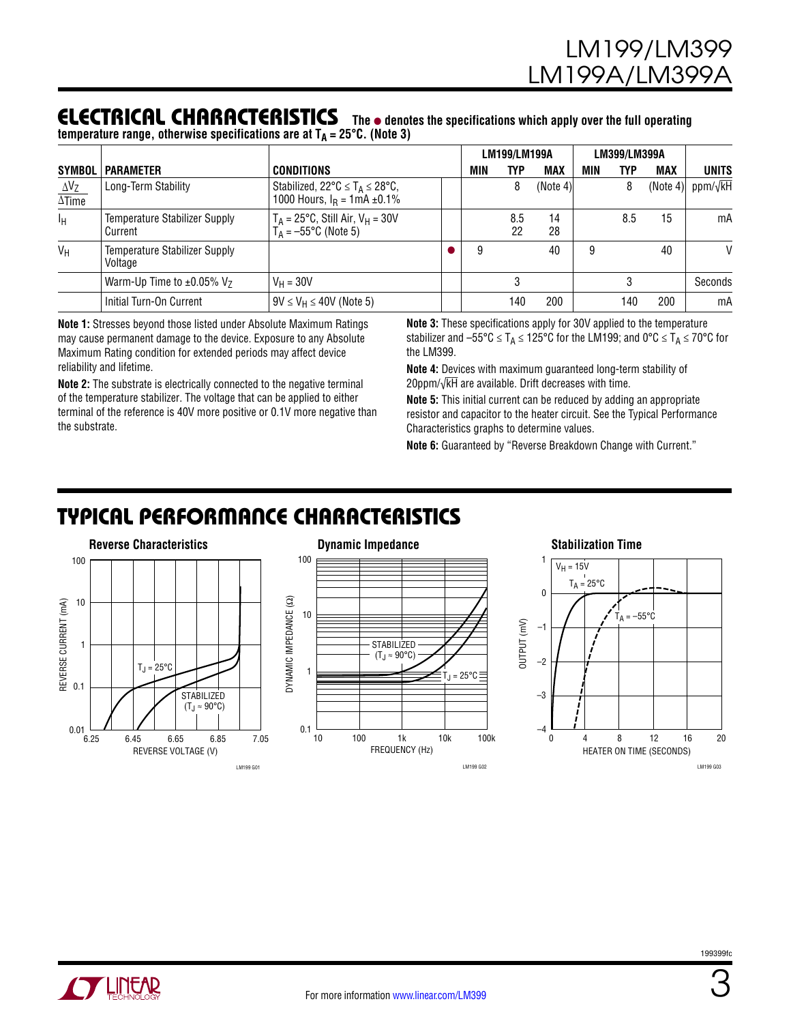#### ELECTRICAL Characteristics The  $\bullet$  denotes the specifications which apply over the full operating  $t$ emperature range, otherwise specifications are at  $T_A = 25^{\circ}$ C. (Note 3)

|                                         |                                                 |                                                                                            |  | <b>LM199/LM199A</b> |            |            | LM399/LM399A |     |            |                           |
|-----------------------------------------|-------------------------------------------------|--------------------------------------------------------------------------------------------|--|---------------------|------------|------------|--------------|-----|------------|---------------------------|
| <b>SYMBOL</b>                           | <b>PARAMETER</b>                                | <b>CONDITIONS</b>                                                                          |  | MIN                 | <b>TYP</b> | <b>MAX</b> | MIN          | TYP | <b>MAX</b> | <b>UNITS</b>              |
| $\Delta V_Z$<br>$\overline{\Delta$ Time | Long-Term Stability                             | Stabilized, $22^{\circ}C \leq T_A \leq 28^{\circ}C$ ,<br>1000 Hours, $I_R = 1mA \pm 0.1\%$ |  |                     | 8          | (Note 4)   |              | 8   |            | (Note 4) ppm/ $\sqrt{kH}$ |
| ΙH                                      | <b>Temperature Stabilizer Supply</b><br>Current | $T_A = 25^{\circ}C$ , Still Air, $V_H = 30V$<br>$T_A = -55^{\circ}C$ (Note 5)              |  |                     | 8.5<br>22  | 14<br>28   |              | 8.5 | 15         | mA                        |
| $V_H$                                   | <b>Temperature Stabilizer Supply</b><br>Voltage |                                                                                            |  | 9                   |            | 40         |              |     | 40         | V                         |
|                                         | Warm-Up Time to $\pm 0.05\%$ V <sub>7</sub>     | $V_H = 30V$                                                                                |  |                     |            |            |              |     |            | Seconds                   |
|                                         | Initial Turn-On Current                         | $9V \leq V_H \leq 40V$ (Note 5)                                                            |  |                     | 140        | 200        |              | 140 | 200        | mA                        |

**Note 1:** Stresses beyond those listed under Absolute Maximum Ratings may cause permanent damage to the device. Exposure to any Absolute Maximum Rating condition for extended periods may affect device reliability and lifetime.

**Note 2:** The substrate is electrically connected to the negative terminal of the temperature stabilizer. The voltage that can be applied to either terminal of the reference is 40V more positive or 0.1V more negative than the substrate.

**Note 3:** These specifications apply for 30V applied to the temperature stabilizer and  $-55^{\circ}\text{C} \leq T_A \leq 125^{\circ}\text{C}$  for the LM199; and  $0^{\circ}\text{C} \leq T_A \leq 70^{\circ}\text{C}$  for the LM399.

**Note 4:** Devices with maximum guaranteed long-term stability of 20ppm/√kH are available. Drift decreases with time.

**Note 5:** This initial current can be reduced by adding an appropriate resistor and capacitor to the heater circuit. See the Typical Performance Characteristics graphs to determine values.

**Note 6:** Guaranteed by "Reverse Breakdown Change with Current."

## Typical Performance Characteristics

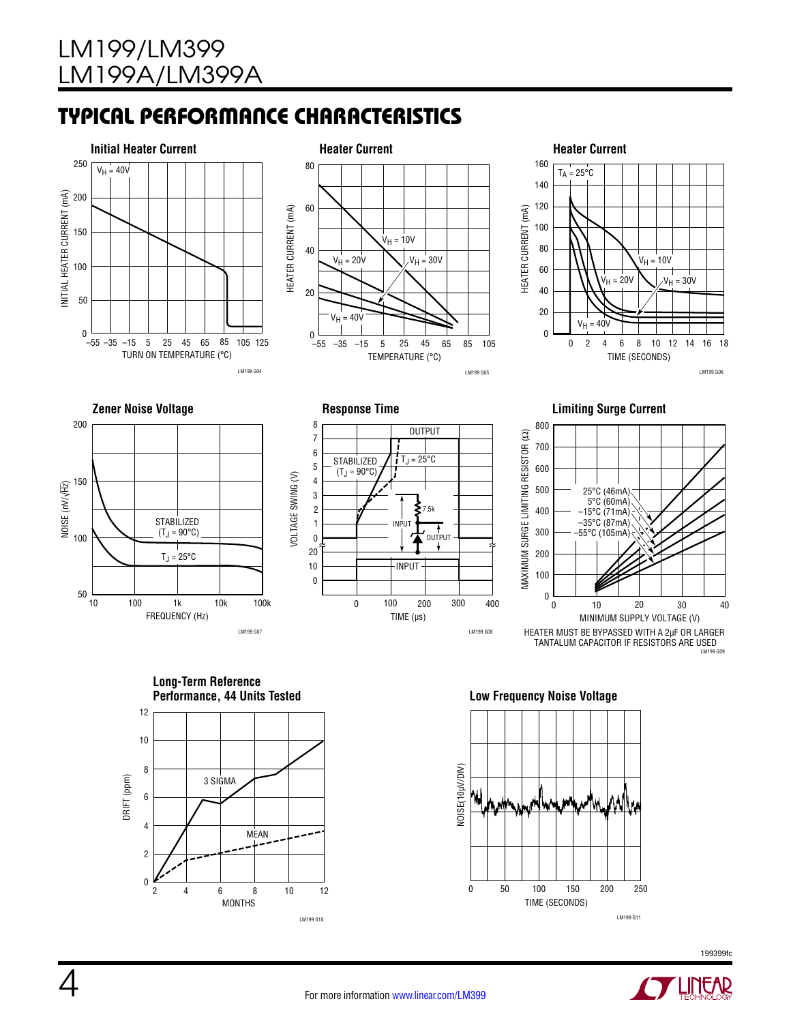# Typical Performance Characteristics











**Long-Term Reference Performance, 44 Units Tested Low Frequency Noise Voltage**







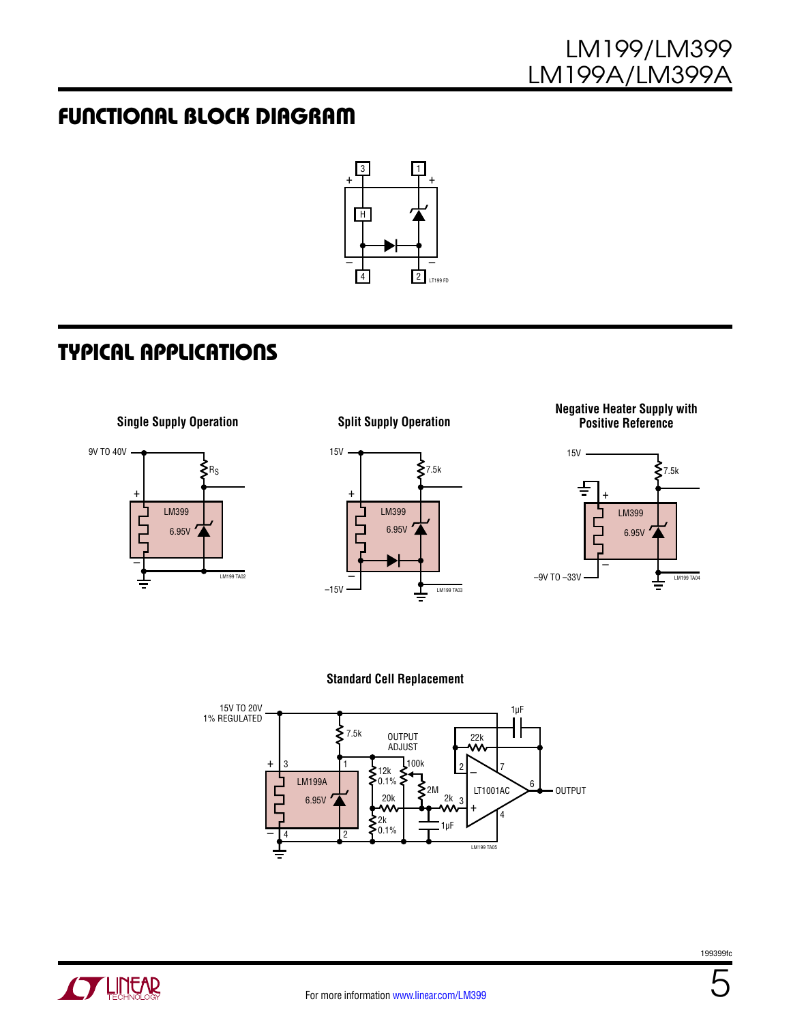## Functional Block Diagram



# Typical Applications

**Single Supply Operation**



**Split Supply Operation**



#### **Negative Heater Supply with Positive Reference**



#### **Standard Cell Replacement**





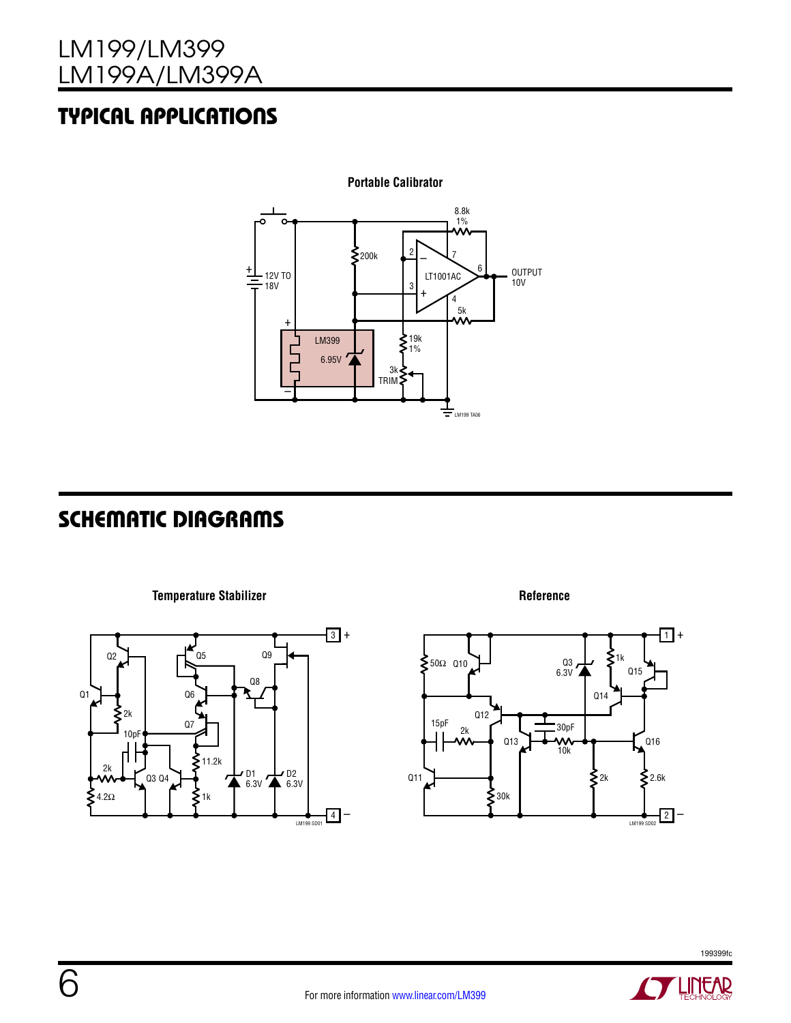# Typical Applications



## Schematic Diagrams

**Temperature Stabilizer**



**Reference**



199399fc

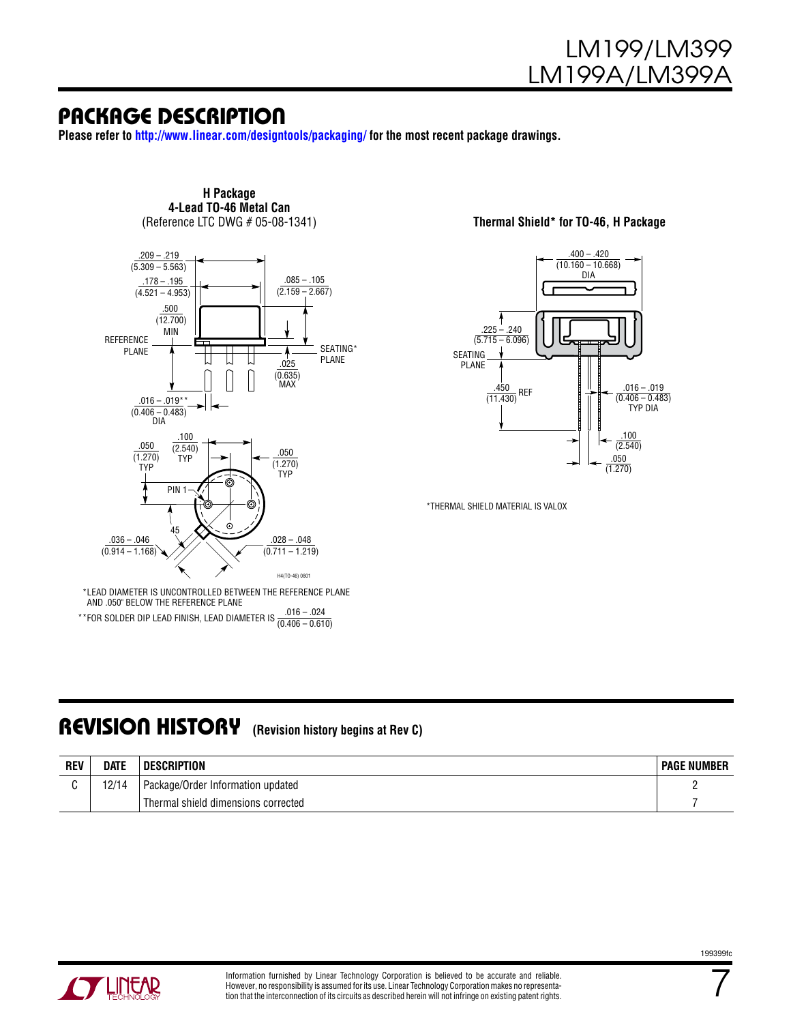#### Package Description

**Please refer to http://www.linear.com/designtools/packaging/ for the most recent package drawings.**



**H Package 4-Lead TO-46 Metal Can**<br>(Reference LTC DWG # 05-08-1341)

(Reference LTC DWG # 05-08-1341) **Thermal Shield\* for TO-46, H Package**



\*THERMAL SHIELD MATERIAL IS VALOX

AND .050" BELOW THE REFERENCE PLANE \*\*FOR SOLDER DIP LEAD FINISH, LEAD DIAMETER IS  $\frac{.016 - .024}{(0.406 - 0.610)}$ 

#### Revision History **(Revision history begins at Rev C)**

| <b>REV</b> | <b>DATE</b> | <b>DESCRIPTION</b>                  | <b>PAGE NUMBER</b> |
|------------|-------------|-------------------------------------|--------------------|
|            | 12/14       | Package/Order Information updated   |                    |
|            |             | Thermal shield dimensions corrected |                    |



7